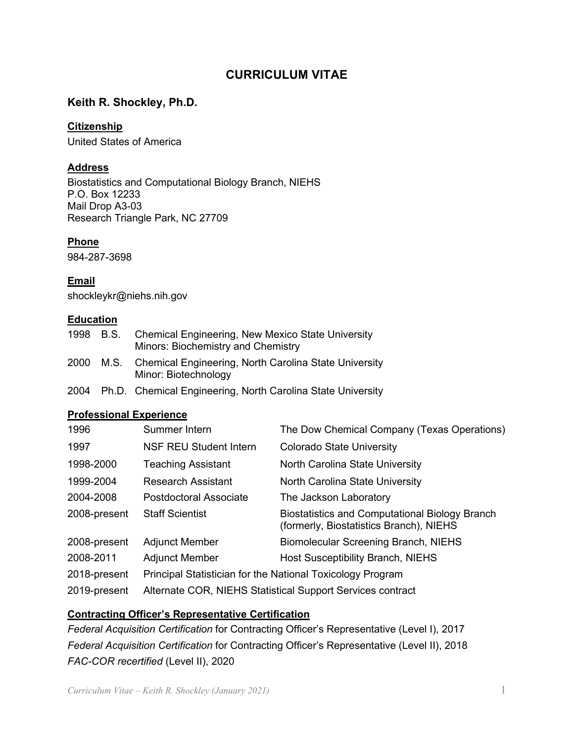# **CURRICULUM VITAE**

# Keith R. Shockley, Ph.D.<br><u>Citizenship</u>

# **Citizenship**

United States of America

# **Address**

 Research Triangle Park, NC 27709 Biostatistics and Computational Biology Branch, NIEHS P.O. Box 12233 Mail Drop A3-03

#### **Phone**

984-287-3698

# **Email**

[shockleykr@niehs.nih.gov](mailto:shockleykr@niehs.nih.gov) 

# **Education**

| 1998 B.S. | <b>Chemical Engineering, New Mexico State University</b><br>Minors: Biochemistry and Chemistry |
|-----------|------------------------------------------------------------------------------------------------|
| 2000      | M.S. Chemical Engineering, North Carolina State University<br>Minor: Biotechnology             |

2004 Ph.D. Chemical Engineering, North Carolina State University

## **Professional Experience**

| 1996         | Summer Intern                                              | The Dow Chemical Company (Texas Operations)                                                      |  |
|--------------|------------------------------------------------------------|--------------------------------------------------------------------------------------------------|--|
| 1997         | <b>NSF REU Student Intern</b>                              | <b>Colorado State University</b>                                                                 |  |
| 1998-2000    | <b>Teaching Assistant</b>                                  | North Carolina State University                                                                  |  |
| 1999-2004    | <b>Research Assistant</b>                                  | North Carolina State University                                                                  |  |
| 2004-2008    | Postdoctoral Associate                                     | The Jackson Laboratory                                                                           |  |
| 2008-present | <b>Staff Scientist</b>                                     | <b>Biostatistics and Computational Biology Branch</b><br>(formerly, Biostatistics Branch), NIEHS |  |
| 2008-present | <b>Adjunct Member</b>                                      | <b>Biomolecular Screening Branch, NIEHS</b>                                                      |  |
| 2008-2011    | <b>Adjunct Member</b>                                      | Host Susceptibility Branch, NIEHS                                                                |  |
| 2018-present | Principal Statistician for the National Toxicology Program |                                                                                                  |  |
| 2019-present | Alternate COR, NIEHS Statistical Support Services contract |                                                                                                  |  |

# **Contracting Officer's Representative Certification**

 *Federal Acquisition Certification* for Contracting Officer's Representative (Level I), 2017 *Federal Acquisition Certification* for Contracting Officer's Representative (Level II), 2018 *FAC-COR recertified* (Level II), 2020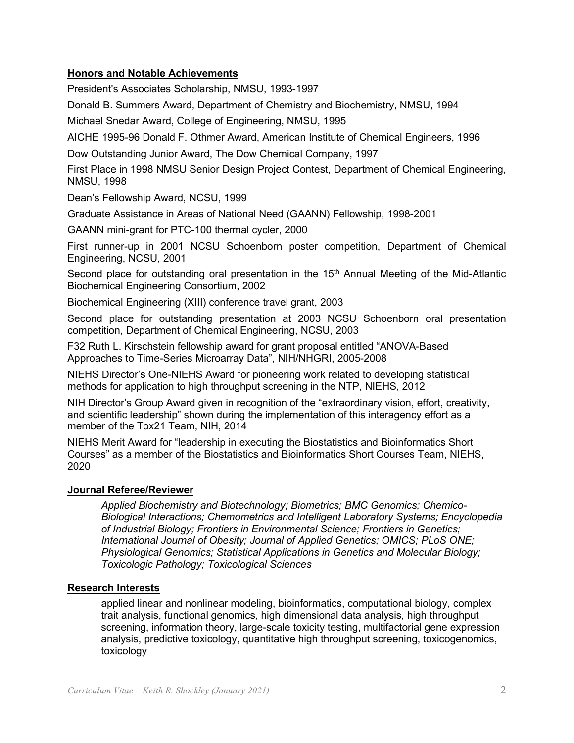## **Honors and Notable Achievements**

President's Associates Scholarship, NMSU, 1993-1997

Donald B. Summers Award, Department of Chemistry and Biochemistry, NMSU, 1994

Michael Snedar Award, College of Engineering, NMSU, 1995

AICHE 1995-96 Donald F. Othmer Award, American Institute of Chemical Engineers, 1996<br>Dow Outstanding Junior Award, The Dow Chemical Company, 1997

 First Place in 1998 NMSU Senior Design Project Contest, Department of Chemical Engineering, NMSU, 1998

Dean's Fellowship Award, NCSU, 1999

Graduate Assistance in Areas of National Need (GAANN) Fellowship, 1998-2001

GAANN mini-grant for PTC-100 thermal cycler, 2000

First runner-up in 2001 NCSU Schoenborn poster competition, Department of Chemical Engineering, NCSU, 2001

Second place for outstanding oral presentation in the  $15<sup>th</sup>$  Annual Meeting of the Mid-Atlantic Biochemical Engineering Consortium, 2002

Biochemical Engineering (XIII) conference travel grant, 2003

Second place for outstanding presentation at 2003 NCSU Schoenborn oral presentation competition, Department of Chemical Engineering, NCSU, 2003

Approaches to Time-Series Microarray Data", NIH/NHGRI, 2005-2008 F32 Ruth L. Kirschstein fellowship award for grant proposal entitled "ANOVA-Based

NIEHS Director's One-NIEHS Award for pioneering work related to developing statistical methods for application to high throughput screening in the NTP, NIEHS, 2012

NIH Director's Group Award given in recognition of the "extraordinary vision, effort, creativity, and scientific leadership" shown during the implementation of this interagency effort as a member of the Tox21 Team, NIH, 2014

 NIEHS Merit Award for "leadership in executing the Biostatistics and Bioinformatics Short Courses" as a member of the Biostatistics and Bioinformatics Short Courses Team, NIEHS, 2020

#### **Journal Referee/Reviewer**

*Applied Biochemistry and Biotechnology; Biometrics; BMC Genomics; Chemico-Biological Interactions; Chemometrics and Intelligent Laboratory Systems; Encyclopedia of Industrial Biology; Frontiers in Environmental Science; Frontiers in Genetics; International Journal of Obesity; Journal of Applied Genetics; OMICS; PLoS ONE; Physiological Genomics; Statistical Applications in Genetics and Molecular Biology; Toxicologic Pathology; Toxicological Sciences* 

#### **Research Interests**

applied linear and nonlinear modeling, bioinformatics, computational biology, complex trait analysis, functional genomics, high dimensional data analysis, high throughput screening, information theory, large-scale toxicity testing, multifactorial gene expression analysis, predictive toxicology, quantitative high throughput screening, toxicogenomics, toxicology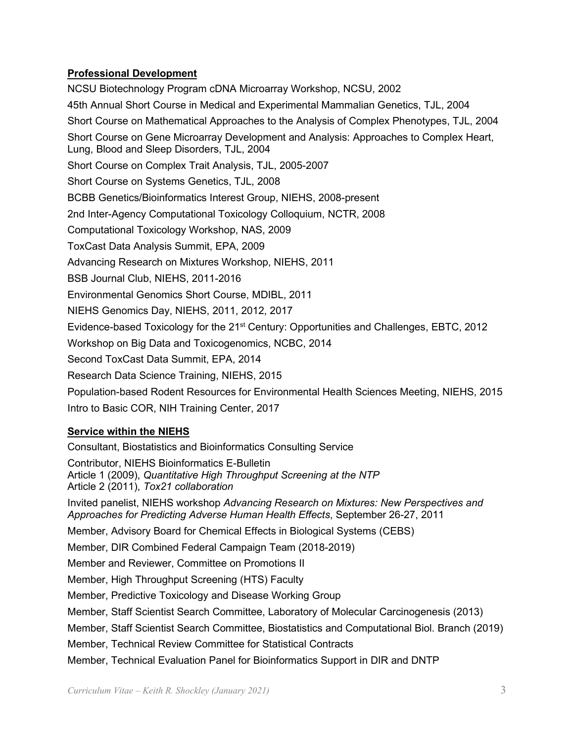# **Professional Development**

 Short Course on Complex Trait Analysis, TJL, 2005-2007 BCBB Genetics/Bioinformatics Interest Group, NIEHS, 2008-present 2nd Inter-Agency Computational Toxicology Colloquium, NCTR, 2008<br>Computational Toxicology Workshop, NAS, 2009 Evidence-based Toxicology for the 21<sup>st</sup> Century: Opportunities and Challenges, EBTC, 2012 NCSU Biotechnology Program cDNA Microarray Workshop, NCSU, 2002 45th Annual Short Course in Medical and Experimental Mammalian Genetics, TJL, 2004 Short Course on Mathematical Approaches to the Analysis of Complex Phenotypes, TJL, 2004 Short Course on Gene Microarray Development and Analysis: Approaches to Complex Heart, Lung, Blood and Sleep Disorders, TJL, 2004 Short Course on Systems Genetics, TJL, 2008 ToxCast Data Analysis Summit, EPA, 2009 Advancing Research on Mixtures Workshop, NIEHS, 2011 BSB Journal Club, NIEHS, 2011-2016 Environmental Genomics Short Course, MDIBL, 2011 NIEHS Genomics Day, NIEHS, 2011, 2012, 2017 Workshop on Big Data and Toxicogenomics, NCBC, 2014 Second ToxCast Data Summit, EPA, 2014 Research Data Science Training, NIEHS, 2015 Population-based Rodent Resources for Environmental Health Sciences Meeting, NIEHS, 2015 Intro to Basic COR, NIH Training Center, 2017

# **Service within the NIEHS**

 Article 1 (2009), *Quantitative High Throughput Screening at the NTP*  Member, Technical Review Committee for Statistical Contracts Consultant, Biostatistics and Bioinformatics Consulting Service Contributor, NIEHS Bioinformatics E-Bulletin Article 2 (2011), *Tox21 collaboration*  Invited panelist, NIEHS workshop *Advancing Research on Mixtures: New Perspectives and Approaches for Predicting Adverse Human Health Effects*, September 26-27, 2011 Member, Advisory Board for Chemical Effects in Biological Systems (CEBS) Member, DIR Combined Federal Campaign Team (2018-2019) Member and Reviewer, Committee on Promotions II Member, High Throughput Screening (HTS) Faculty Member, Predictive Toxicology and Disease Working Group Member, Staff Scientist Search Committee, Laboratory of Molecular Carcinogenesis (2013) Member, Staff Scientist Search Committee, Biostatistics and Computational Biol. Branch (2019) Member, Technical Evaluation Panel for Bioinformatics Support in DIR and DNTP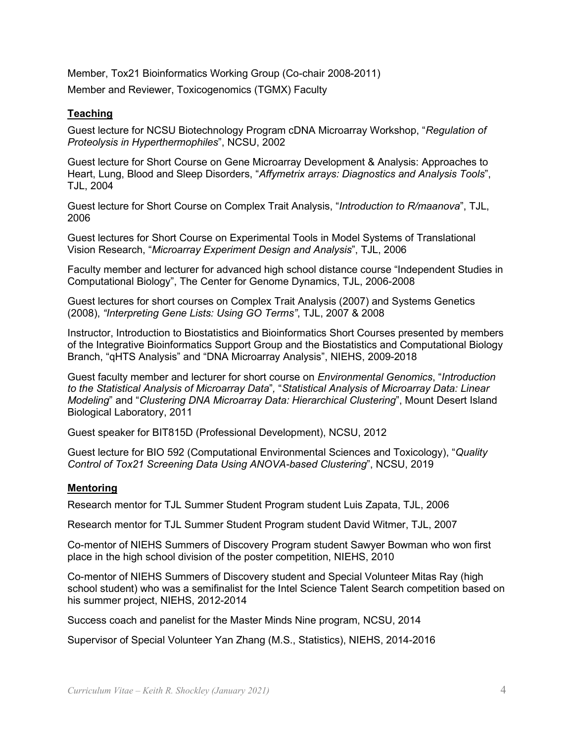Member, Tox21 Bioinformatics Working Group (Co-chair 2008-2011) Member and Reviewer, Toxicogenomics (TGMX) Faculty

## **Teaching**

 *Proteolysis in Hyperthermophiles*", NCSU, 2002 Guest lecture for NCSU Biotechnology Program cDNA Microarray Workshop, "*Regulation of* 

Guest lecture for Short Course on Gene Microarray Development & Analysis: Approaches to Heart, Lung, Blood and Sleep Disorders, "*Affymetrix arrays: Diagnostics and Analysis Tools*", TJL, 2004

 Guest lecture for Short Course on Complex Trait Analysis, "*Introduction to R/maanova*", TJL, 2006

Guest lectures for Short Course on Experimental Tools in Model Systems of Translational Vision Research, "*Microarray Experiment Design and Analysis*", TJL, 2006

Faculty member and lecturer for advanced high school distance course "Independent Studies in Computational Biology", The Center for Genome Dynamics, TJL, 2006-2008

Guest lectures for short courses on Complex Trait Analysis (2007) and Systems Genetics (2008), *"Interpreting Gene Lists: Using GO Terms"*, TJL, 2007 & 2008

Instructor, Introduction to Biostatistics and Bioinformatics Short Courses presented by members of the Integrative Bioinformatics Support Group and the Biostatistics and Computational Biology Branch, "qHTS Analysis" and "DNA Microarray Analysis", NIEHS, 2009-2018

Guest faculty member and lecturer for short course on *Environmental Genomics*, "*Introduction to the Statistical Analysis of Microarray Data*"*,* "*Statistical Analysis of Microarray Data: Linear Modeling*" and "*Clustering DNA Microarray Data: Hierarchical Clustering*", Mount Desert Island Biological Laboratory, 2011

Guest speaker for BIT815D (Professional Development), NCSU, 2012

Guest lecture for BIO 592 (Computational Environmental Sciences and Toxicology), "*Quality Control of Tox21 Screening Data Using ANOVA-based Clustering*", NCSU, 2019

#### **Mentoring**

Research mentor for TJL Summer Student Program student Luis Zapata, TJL, 2006

Research mentor for TJL Summer Student Program student Luis Zapata, TJL, 2006<br>Research mentor for TJL Summer Student Program student David Witmer, TJL, 2007

Co-mentor of NIEHS Summers of Discovery Program student Sawyer Bowman who won first place in the high school division of the poster competition, NIEHS, 2010

Co-mentor of NIEHS Summers of Discovery student and Special Volunteer Mitas Ray (high school student) who was a semifinalist for the Intel Science Talent Search competition based on his summer project, NIEHS, 2012-2014

Success coach and panelist for the Master Minds Nine program, NCSU, 2014

Supervisor of Special Volunteer Yan Zhang (M.S., Statistics), NIEHS, 2014-2016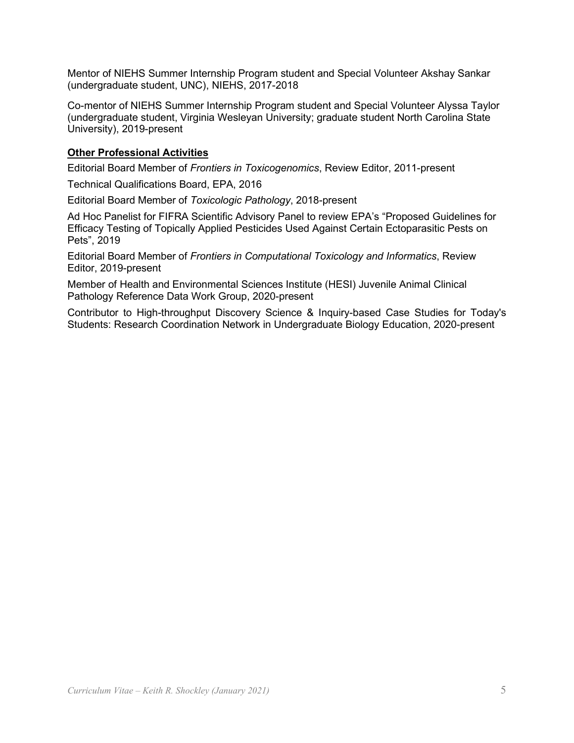Mentor of NIEHS Summer Internship Program student and Special Volunteer Akshay Sankar (undergraduate student, UNC), NIEHS, 2017-2018

Co-mentor of NIEHS Summer Internship Program student and Special Volunteer Alyssa Taylor (undergraduate student, Virginia Wesleyan University; graduate student North Carolina State University), 2019-present

#### **Other Professional Activities**

Editorial Board Member of *Frontiers in Toxicogenomics*, Review Editor, 2011-present

Technical Qualifications Board, EPA, 2016

Editorial Board Member of *Toxicologic Pathology*, 2018-present

 Ad Hoc Panelist for FIFRA Scientific Advisory Panel to review EPA's "Proposed Guidelines for Efficacy Testing of Topically Applied Pesticides Used Against Certain Ectoparasitic Pests on Pets", 2019

 Editorial Board Member of *Frontiers in Computational Toxicology and Informatics*, Review Editor, 2019-present

Member of Health and Environmental Sciences Institute (HESI) Juvenile Animal Clinical Pathology Reference Data Work Group, 2020-present

 Contributor to High-throughput Discovery Science & Inquiry-based Case Studies for Today's Students: Research Coordination Network in Undergraduate Biology Education, 2020-present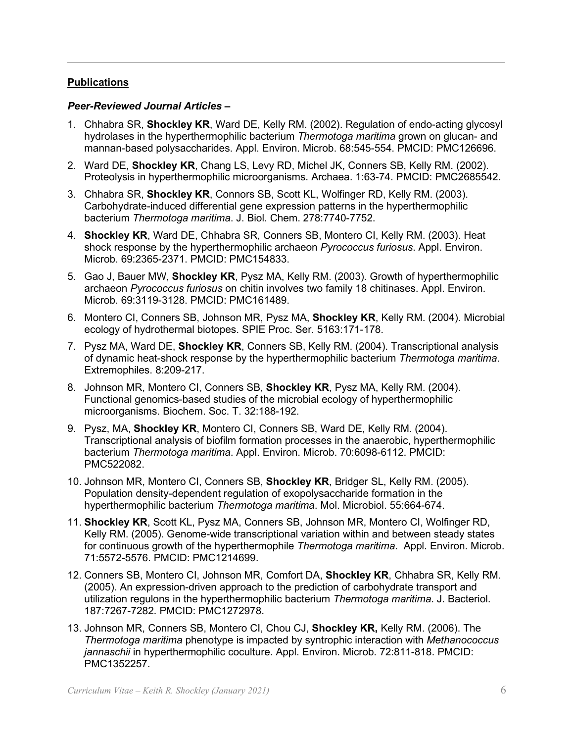## **Publications**

# *Peer-Reviewed Journal Articles –*

- hydrolases in the hyperthermophilic bacterium *Thermotoga maritima* grown on glucan- and 1. Chhabra SR, **Shockley KR**, Ward DE, Kelly RM. (2002). Regulation of endo-acting glycosyl mannan-based polysaccharides. Appl. Environ. Microb. 68:545-554. PMCID: PMC126696.
- 2. Ward DE, **Shockley KR**, Chang LS, Levy RD, Michel JK, Conners SB, Kelly RM. (2002). Proteolysis in hyperthermophilic microorganisms. Archaea. 1:63-74. PMCID: PMC2685542.
- 3. Chhabra SR, **Shockley KR**, Connors SB, Scott KL, Wolfinger RD, Kelly RM. (2003). Carbohydrate-induced differential gene expression patterns in the hyperthermophilic bacterium *Thermotoga maritima*. J. Biol. Chem. 278:7740-7752.
- shock response by the hyperthermophilic archaeon *Pyrococcus furiosus*. Appl. Environ. 4. **Shockley KR**, Ward DE, Chhabra SR, Conners SB, Montero CI, Kelly RM. (2003). Heat Microb. 69:2365-2371. PMCID: PMC154833.
- 5. Gao J, Bauer MW, **Shockley KR**, Pysz MA, Kelly RM. (2003). Growth of hyperthermophilic archaeon *Pyrococcus furiosus* on chitin involves two family 18 chitinases. Appl. Environ. Microb. 69:3119-3128. PMCID: PMC161489.
- 6. Montero CI, Conners SB, Johnson MR, Pysz MA, **Shockley KR**, Kelly RM. (2004). Microbial ecology of hydrothermal biotopes. SPIE Proc. Ser. 5163:171-178.
- Extremophiles. 8:209-217. 7. Pysz MA, Ward DE, **Shockley KR**, Conners SB, Kelly RM. (2004). Transcriptional analysis of dynamic heat-shock response by the hyperthermophilic bacterium *Thermotoga maritima*.
- 8. Johnson MR, Montero CI, Conners SB, **Shockley KR**, Pysz MA, Kelly RM. (2004). Functional genomics-based studies of the microbial ecology of hyperthermophilic microorganisms. Biochem. Soc. T. 32:188-192.
- 9. Pysz, MA, **Shockley KR**, Montero CI, Conners SB, Ward DE, Kelly RM. (2004). Transcriptional analysis of biofilm formation processes in the anaerobic, hyperthermophilic bacterium *Thermotoga maritima*. Appl. Environ. Microb. 70:6098-6112. PMCID: PMC522082.
- 10. Johnson MR, Montero CI, Conners SB, **Shockley KR**, Bridger SL, Kelly RM. (2005). Population density-dependent regulation of exopolysaccharide formation in the hyperthermophilic bacterium *Thermotoga maritima*. Mol. Microbiol. 55:664-674.
- for continuous growth of the hyperthermophile *Thermotoga maritima*. Appl. Environ. Microb. 11. **Shockley KR**, Scott KL, Pysz MA, Conners SB, Johnson MR, Montero CI, Wolfinger RD, Kelly RM. (2005). Genome-wide transcriptional variation within and between steady states 71:5572-5576. PMCID: PMC1214699.
- 12. Conners SB, Montero CI, Johnson MR, Comfort DA, **Shockley KR**, Chhabra SR, Kelly RM. (2005). An expression-driven approach to the prediction of carbohydrate transport and utilization regulons in the hyperthermophilic bacterium *Thermotoga maritima*. J. Bacteriol. 187:7267-7282. PMCID: PMC1272978.
- 13. Johnson MR, Conners SB, Montero CI, Chou CJ, **Shockley KR,** Kelly RM. (2006). The *Thermotoga maritima* phenotype is impacted by syntrophic interaction with *Methanococcus*  jannaschii in hyperthermophilic coculture. Appl. Environ. Microb. 72:811-818. PMCID: PMC1352257.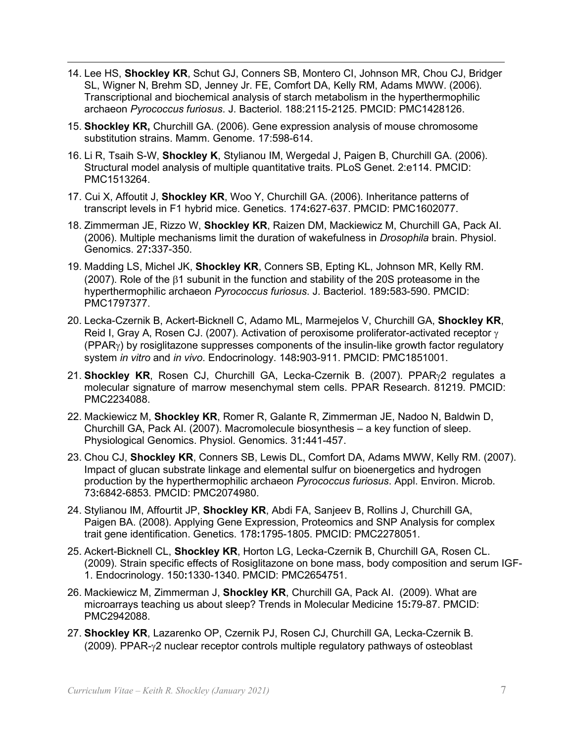- 14. Lee HS, **Shockley KR**, Schut GJ, Conners SB, Montero CI, Johnson MR, Chou CJ, Bridger SL, Wigner N, Brehm SD, Jenney Jr. FE, Comfort DA, Kelly RM, Adams MWW. (2006). Transcriptional and biochemical analysis of starch metabolism in the hyperthermophilic archaeon *Pyrococcus furiosus*. J. Bacteriol. 188:2115-2125. PMCID: PMC1428126.
- 15. **Shockley KR,** Churchill GA. (2006). Gene expression analysis of mouse chromosome substitution strains. Mamm. Genome. 17:598-614.
- 16. Li R, Tsaih S-W, **Shockley K**, Stylianou IM, Wergedal J, Paigen B, Churchill GA. (2006). Structural model analysis of multiple quantitative traits. PLoS Genet. 2:e114. PMCID: PMC1513264.
- 17. Cui X, Affoutit J, **Shockley KR**, Woo Y, Churchill GA. (2006). Inheritance patterns of transcript levels in F1 hybrid mice. Genetics. 174**:**627-637. PMCID: PMC1602077.
- 18. Zimmerman JE, Rizzo W, **Shockley KR**, Raizen DM, Mackiewicz M, Churchill GA, Pack AI. (2006). Multiple mechanisms limit the duration of wakefulness in *Drosophila* brain. Physiol. Genomics. 27**:**337-350.
- 19. Madding LS, Michel JK, **Shockley KR**, Conners SB, Epting KL, Johnson MR, Kelly RM. (2007). Role of the β1 subunit in the function and stability of the 20S proteasome in the hyperthermophilic archaeon *Pyrococcus furiosus*. J. Bacteriol. 189**:**583-590. PMCID: PMC1797377.
- system *in vitro* and *in vivo*. Endocrinology. 148**:**903-911. PMCID: PMC1851001. 20. Lecka-Czernik B, Ackert-Bicknell C, Adamo ML, Marmejelos V, Churchill GA, **Shockley KR**, Reid I, Gray A, Rosen CJ. (2007). Activation of peroxisome proliferator-activated receptor  $\gamma$ (PPARγ) by rosiglitazone suppresses components of the insulin-like growth factor regulatory
- 21. **Shockley KR**, Rosen CJ, Churchill GA, Lecka-Czernik B. (2007). PPARγ2 regulates a molecular signature of marrow mesenchymal stem cells. PPAR Research. 81219. PMCID: PMC2234088.
- 22. Mackiewicz M, **Shockley KR**, Romer R, Galante R, Zimmerman JE, Nadoo N, Baldwin D, Churchill GA, Pack AI. (2007). Macromolecule biosynthesis – a key function of sleep. Physiological Genomics. Physiol. Genomics. 31**:**441-457.
- 23. Chou CJ, **Shockley KR**, Conners SB, Lewis DL, Comfort DA, Adams MWW, Kelly RM. (2007). Impact of glucan substrate linkage and elemental sulfur on bioenergetics and hydrogen production by the hyperthermophilic archaeon *Pyrococcus furiosus*. Appl. Environ. Microb. 73**:**6842-6853. PMCID: PMC2074980.
- 24. Stylianou IM, Affourtit JP, **Shockley KR**, Abdi FA, Sanjeev B, Rollins J, Churchill GA, Paigen BA. (2008). Applying Gene Expression, Proteomics and SNP Analysis for complex trait gene identification. Genetics. 178**:**1795-1805. PMCID: PMC2278051.
- 25. Ackert-Bicknell CL, **Shockley KR**, Horton LG, Lecka-Czernik B, Churchill GA, Rosen CL. (2009). Strain specific effects of Rosiglitazone on bone mass, body composition and serum IGF-1. Endocrinology. 150**:**1330-1340. PMCID: PMC2654751.
- 26. Mackiewicz M, Zimmerman J, **Shockley KR**, Churchill GA, Pack AI. (2009). What are microarrays teaching us about sleep? Trends in Molecular Medicine 15**:**79-87. PMCID: PMC2942088.
- 27. **Shockley KR**, Lazarenko OP, Czernik PJ, Rosen CJ, Churchill GA, Lecka-Czernik B. (2009). PPAR-γ2 nuclear receptor controls multiple regulatory pathways of osteoblast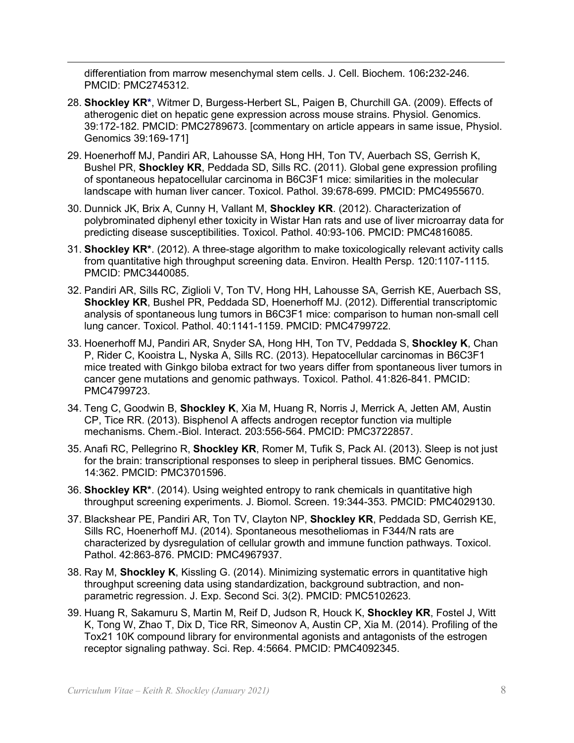differentiation from marrow mesenchymal stem cells. J. Cell. Biochem. 106**:**232-246. PMCID: PMC2745312.

- 28. **Shockley KR\***, Witmer D, Burgess-Herbert SL, Paigen B, Churchill GA. (2009). Effects of atherogenic diet on hepatic gene expression across mouse strains. Physiol. Genomics. 39:172-182. PMCID: PMC2789673. [commentary on article appears in same issue, Physiol. Genomics 39:169-171]
- 29. Hoenerhoff MJ, Pandiri AR, Lahousse SA, Hong HH, Ton TV, Auerbach SS, Gerrish K, Bushel PR, **Shockley KR**, Peddada SD, Sills RC. (2011). Global gene expression profiling of spontaneous hepatocellular carcinoma in B6C3F1 mice: similarities in the molecular landscape with human liver cancer. Toxicol. Pathol. 39:678-699. PMCID: PMC4955670.
- 30. Dunnick JK, Brix A, Cunny H, Vallant M, **Shockley KR**. (2012). Characterization of polybrominated diphenyl ether toxicity in Wistar Han rats and use of liver microarray data for predicting disease susceptibilities. Toxicol. Pathol. 40:93-106. PMCID: PMC4816085.
- from quantitative high throughput screening data. Environ. Health Persp. 120:1107-1115. 31. **Shockley KR\***. (2012). A three-stage algorithm to make toxicologically relevant activity calls PMCID: PMC3440085.
- 32. Pandiri AR, Sills RC, Ziglioli V, Ton TV, Hong HH, Lahousse SA, Gerrish KE, Auerbach SS, **Shockley KR**, Bushel PR, Peddada SD, Hoenerhoff MJ. (2012). Differential transcriptomic analysis of spontaneous lung tumors in B6C3F1 mice: comparison to human non-small cell lung cancer. Toxicol. Pathol. 40:1141-1159. PMCID: PMC4799722.
- P, Rider C, Kooistra L, Nyska A, Sills RC. (2013). Hepatocellular carcinomas in B6C3F1 33. Hoenerhoff MJ, Pandiri AR, Snyder SA, Hong HH, Ton TV, Peddada S, **Shockley K**, Chan mice treated with Ginkgo biloba extract for two years differ from spontaneous liver tumors in cancer gene mutations and genomic pathways. Toxicol. Pathol. 41:826-841. PMCID: PMC4799723.
- 34. Teng C, Goodwin B, **Shockley K**, Xia M, Huang R, Norris J, Merrick A, Jetten AM, Austin CP, Tice RR. (2013). Bisphenol A affects androgen receptor function via multiple mechanisms. Chem.-Biol. Interact. 203:556-564. PMCID: PMC3722857.
- 35. Anafi RC, Pellegrino R, **Shockley KR**, Romer M, Tufik S, Pack AI. (2013). Sleep is not just for the brain: transcriptional responses to sleep in peripheral tissues. BMC Genomics. 14:362. PMCID: PMC3701596.
- 36. **Shockley KR\***. (2014). Using weighted entropy to rank chemicals in quantitative high throughput screening experiments. J. Biomol. Screen. 19:344-353. PMCID: PMC4029130.
- characterized by dysregulation of cellular growth and immune function pathways. Toxicol. 37. Blackshear PE, Pandiri AR, Ton TV, Clayton NP, **Shockley KR**, Peddada SD, Gerrish KE, Sills RC, Hoenerhoff MJ. (2014). Spontaneous mesotheliomas in F344/N rats are Pathol. 42:863-876. PMCID: PMC4967937.
- 38. Ray M, **Shockley K**, Kissling G. (2014). Minimizing systematic errors in quantitative high throughput screening data using standardization, background subtraction, and nonparametric regression. J. Exp. Second Sci. 3(2). PMCID: PMC5102623.
- 39. Huang R, Sakamuru S, Martin M, Reif D, Judson R, Houck K, **Shockley KR**, Fostel J, Witt K, Tong W, Zhao T, Dix D, Tice RR, Simeonov A, Austin CP, Xia M. (2014). Profiling of the Tox21 10K compound library for environmental agonists and antagonists of the estrogen receptor signaling pathway. Sci. Rep. 4:5664. PMCID: PMC4092345.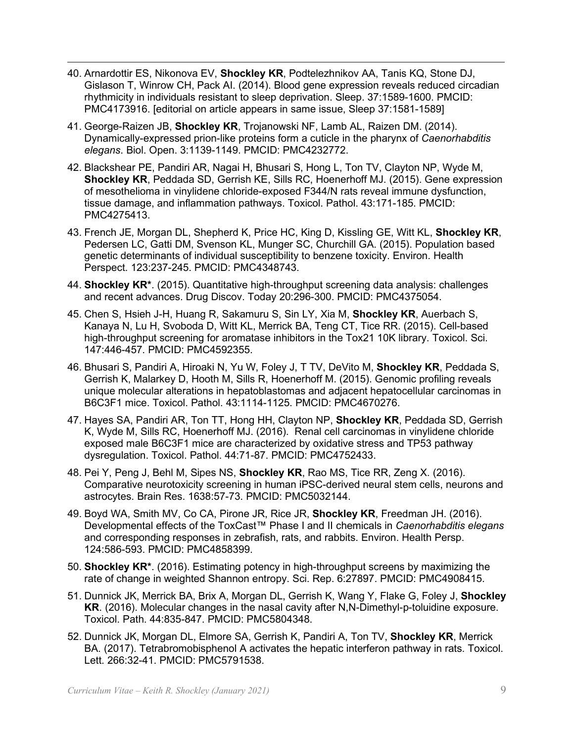- 40. Arnardottir ES, Nikonova EV, **Shockley KR**, Podtelezhnikov AA, Tanis KQ, Stone DJ, Gislason T, Winrow CH, Pack AI. (2014). Blood gene expression reveals reduced circadian rhythmicity in individuals resistant to sleep deprivation. Sleep. 37:1589-1600. PMCID: PMC4173916. [editorial on article appears in same issue, Sleep 37:1581-1589]
- 41. George-Raizen JB, **Shockley KR**, Trojanowski NF, Lamb AL, Raizen DM. (2014). Dynamically-expressed prion-like proteins form a cuticle in the pharynx of *Caenorhabditis elegans*. Biol. Open. 3:1139-1149. PMCID: PMC4232772.
- of mesothelioma in vinylidene chloride-exposed F344/N rats reveal immune dysfunction, 42. Blackshear PE, Pandiri AR, Nagai H, Bhusari S, Hong L, Ton TV, Clayton NP, Wyde M, **Shockley KR**, Peddada SD, Gerrish KE, Sills RC, Hoenerhoff MJ. (2015). Gene expression tissue damage, and inflammation pathways. Toxicol. Pathol. 43:171-185. PMCID: PMC4275413.
- 43. French JE, Morgan DL, Shepherd K, Price HC, King D, Kissling GE, Witt KL, **Shockley KR**, Pedersen LC, Gatti DM, Svenson KL, Munger SC, Churchill GA. (2015). Population based genetic determinants of individual susceptibility to benzene toxicity. Environ. Health Perspect. 123:237-245. PMCID: PMC4348743.
- 44. **Shockley KR\***. (2015). Quantitative high-throughput screening data analysis: challenges and recent advances. Drug Discov. Today 20:296-300. PMCID: PMC4375054.
- Kanaya N, Lu H, Svoboda D, Witt KL, Merrick BA, Teng CT, Tice RR. (2015). Cell-based 45. Chen S, Hsieh J-H, Huang R, Sakamuru S, Sin LY, Xia M, **Shockley KR**, Auerbach S, high-throughput screening for aromatase inhibitors in the Tox21 10K library. Toxicol. Sci. 147:446-457. PMCID: PMC4592355.
- 46. Bhusari S, Pandiri A, Hiroaki N, Yu W, Foley J, T TV, DeVito M, **Shockley KR**, Peddada S, Gerrish K, Malarkey D, Hooth M, Sills R, Hoenerhoff M. (2015). Genomic profiling reveals unique molecular alterations in hepatoblastomas and adjacent hepatocellular carcinomas in B6C3F1 mice. Toxicol. Pathol. 43:1114-1125. PMCID: PMC4670276.
- K, Wyde M, Sills RC, Hoenerhoff MJ. (2016). Renal cell carcinomas in vinylidene chloride 47. Hayes SA, Pandiri AR, Ton TT, Hong HH, Clayton NP, **Shockley KR**, Peddada SD, Gerrish exposed male B6C3F1 mice are characterized by oxidative stress and TP53 pathway dysregulation. Toxicol. Pathol. 44:71-87. PMCID: PMC4752433.
- 48. Pei Y, Peng J, Behl M, Sipes NS, **Shockley KR**, Rao MS, Tice RR, Zeng X. (2016). Comparative neurotoxicity screening in human iPSC-derived neural stem cells, neurons and astrocytes. Brain Res. 1638:57-73. PMCID: PMC5032144.
- 49. Boyd WA, Smith MV, Co CA, Pirone JR, Rice JR, **Shockley KR**, Freedman JH. (2016). Developmental effects of the ToxCast™ Phase I and II chemicals in *Caenorhabditis elegans*  and corresponding responses in zebrafish, rats, and rabbits. Environ. Health Persp. 124:586-593. PMCID: PMC4858399.
- 50. **Shockley KR\***. (2016). Estimating potency in high-throughput screens by maximizing the rate of change in weighted Shannon entropy. Sci. Rep. 6:27897. PMCID: PMC4908415.
- 51. Dunnick JK, Merrick BA, Brix A, Morgan DL, Gerrish K, Wang Y, Flake G, Foley J, **Shockley KR**. (2016). Molecular changes in the nasal cavity after N,N-Dimethyl-p-toluidine exposure. Toxicol. Path. 44:835-847. PMCID: PMC5804348.
- 52. Dunnick JK, Morgan DL, Elmore SA, Gerrish K, Pandiri A, Ton TV, **Shockley KR**, Merrick BA. (2017). Tetrabromobisphenol A activates the hepatic interferon pathway in rats. Toxicol. Lett. 266:32-41. PMCID: PMC5791538.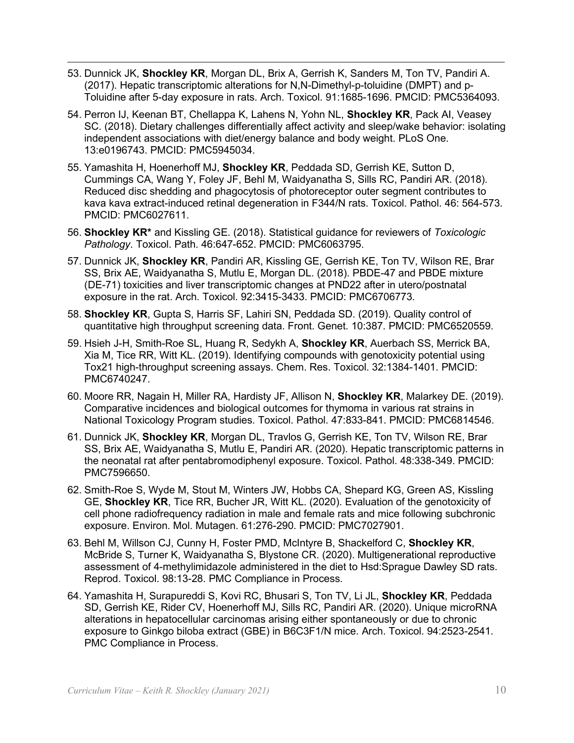- 53. Dunnick JK, **Shockley KR**, Morgan DL, Brix A, Gerrish K, Sanders M, Ton TV, Pandiri A. (2017). Hepatic transcriptomic alterations for N,N-Dimethyl-p-toluidine (DMPT) and p-Toluidine after 5-day exposure in rats. Arch. Toxicol. 91:1685-1696. PMCID: PMC5364093.
- 54. Perron IJ, Keenan BT, Chellappa K, Lahens N, Yohn NL, **Shockley KR**, Pack AI, Veasey SC. (2018). Dietary challenges differentially affect activity and sleep/wake behavior: isolating independent associations with diet/energy balance and body weight. PLoS One. 13:e0196743. PMCID: PMC5945034.
- 55. Yamashita H, Hoenerhoff MJ, **Shockley KR**, Peddada SD, Gerrish KE, Sutton D, Cummings CA, Wang Y, Foley JF, Behl M, Waidyanatha S, Sills RC, Pandiri AR. (2018). Reduced disc shedding and phagocytosis of photoreceptor outer segment contributes to kava kava extract-induced retinal degeneration in F344/N rats. Toxicol. Pathol. 46: 564-573. PMCID: PMC6027611.
- 56. **Shockley KR\*** and Kissling GE. (2018). Statistical guidance for reviewers of *Toxicologic Pathology*. Toxicol. Path. 46:647-652. PMCID: PMC6063795.
- 57. Dunnick JK, **Shockley KR**, Pandiri AR, Kissling GE, Gerrish KE, Ton TV, Wilson RE, Brar SS, Brix AE, Waidyanatha S, Mutlu E, Morgan DL. (2018). PBDE-47 and PBDE mixture (DE-71) toxicities and liver transcriptomic changes at PND22 after in utero/postnatal exposure in the rat. Arch. Toxicol. 92:3415-3433. PMCID: PMC6706773.
- quantitative high throughput screening data. Front. Genet. 10:387. PMCID: PMC6520559. 58. **Shockley KR**, Gupta S, Harris SF, Lahiri SN, Peddada SD. (2019). Quality control of
- 59. Hsieh J-H, Smith-Roe SL, Huang R, Sedykh A, **Shockley KR**, Auerbach SS, Merrick BA, Xia M, Tice RR, Witt KL. (2019). Identifying compounds with genotoxicity potential using Tox21 high-throughput screening assays. Chem. Res. Toxicol. 32:1384-1401. PMCID: PMC6740247.
- 60. Moore RR, Nagain H, Miller RA, Hardisty JF, Allison N, **Shockley KR**, Malarkey DE. (2019). Comparative incidences and biological outcomes for thymoma in various rat strains in National Toxicology Program studies. Toxicol. Pathol. 47:833-841. PMCID: PMC6814546.
- 61. Dunnick JK, **Shockley KR**, Morgan DL, Travlos G, Gerrish KE, Ton TV, Wilson RE, Brar SS, Brix AE, Waidyanatha S, Mutlu E, Pandiri AR. (2020). Hepatic transcriptomic patterns in the neonatal rat after pentabromodiphenyl exposure. Toxicol. Pathol. 48:338-349. PMCID: PMC7596650.
- GE, **Shockley KR**, Tice RR, Bucher JR, Witt KL. (2020). Evaluation of the genotoxicity of 62. Smith-Roe S, Wyde M, Stout M, Winters JW, Hobbs CA, Shepard KG, Green AS, Kissling cell phone radiofrequency radiation in male and female rats and mice following subchronic exposure. Environ. Mol. Mutagen. 61:276-290. PMCID: PMC7027901.
- assessment of 4-methylimidazole administered in the diet to Hsd:Sprague Dawley SD rats. 63. Behl M, Willson CJ, Cunny H, Foster PMD, McIntyre B, Shackelford C, **Shockley KR**, McBride S, Turner K, Waidyanatha S, Blystone CR. (2020). Multigenerational reproductive Reprod. Toxicol. 98:13-28. PMC Compliance in Process.
- 64. Yamashita H, Surapureddi S, Kovi RC, Bhusari S, Ton TV, Li JL, **Shockley KR**, Peddada SD, Gerrish KE, Rider CV, Hoenerhoff MJ, Sills RC, Pandiri AR. (2020). Unique microRNA alterations in hepatocellular carcinomas arising either spontaneously or due to chronic exposure to Ginkgo biloba extract (GBE) in B6C3F1/N mice. Arch. Toxicol. 94:2523-2541. PMC Compliance in Process.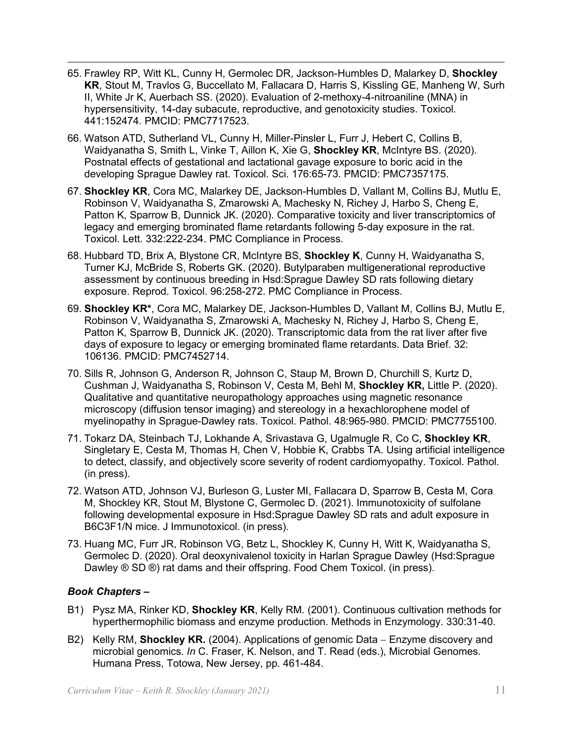- **KR**, Stout M, Travlos G, Buccellato M, Fallacara D, Harris S, Kissling GE, Manheng W, Surh 65. Frawley RP, Witt KL, Cunny H, Germolec DR, Jackson-Humbles D, Malarkey D, **Shockley**  II, White Jr K, Auerbach SS. (2020). Evaluation of 2-methoxy-4-nitroaniline (MNA) in hypersensitivity, 14-day subacute, reproductive, and genotoxicity studies. Toxicol. 441:152474. PMCID: PMC7717523.
- 66. Watson ATD, Sutherland VL, Cunny H, Miller-Pinsler L, Furr J, Hebert C, Collins B, developing Sprague Dawley rat. Toxicol. Sci. 176:65-73. PMCID: PMC7357175. Waidyanatha S, Smith L, Vinke T, Aillon K, Xie G, **Shockley KR**, McIntyre BS. (2020). Postnatal effects of gestational and lactational gavage exposure to boric acid in the
- legacy and emerging brominated flame retardants following 5-day exposure in the rat. 67. **Shockley KR**, Cora MC, Malarkey DE, Jackson-Humbles D, Vallant M, Collins BJ, Mutlu E, Robinson V, Waidyanatha S, Zmarowski A, Machesky N, Richey J, Harbo S, Cheng E, Patton K, Sparrow B, Dunnick JK. (2020). Comparative toxicity and liver transcriptomics of Toxicol. Lett. 332:222-234. PMC Compliance in Process.
- 68. Hubbard TD, Brix A, Blystone CR, McIntyre BS, **Shockley K**, Cunny H, Waidyanatha S, Turner KJ, McBride S, Roberts GK. (2020). Butylparaben multigenerational reproductive assessment by continuous breeding in Hsd:Sprague Dawley SD rats following dietary exposure. Reprod. Toxicol. 96:258-272. PMC Compliance in Process.
- Patton K, Sparrow B, Dunnick JK. (2020). Transcriptomic data from the rat liver after five 69. **Shockley KR\***, Cora MC, Malarkey DE, Jackson-Humbles D, Vallant M, Collins BJ, Mutlu E, Robinson V, Waidyanatha S, Zmarowski A, Machesky N, Richey J, Harbo S, Cheng E, days of exposure to legacy or emerging brominated flame retardants. Data Brief. 32: 106136. PMCID: PMC7452714.
- 70. Sills R, Johnson G, Anderson R, Johnson C, Staup M, Brown D, Churchill S, Kurtz D, Cushman J, Waidyanatha S, Robinson V, Cesta M, Behl M, **Shockley KR,** Little P. (2020). Qualitative and quantitative neuropathology approaches using magnetic resonance microscopy (diffusion tensor imaging) and stereology in a hexachlorophene model of myelinopathy in Sprague-Dawley rats. Toxicol. Pathol. 48:965-980. PMCID: PMC7755100.
- 71. Tokarz DA, Steinbach TJ, Lokhande A, Srivastava G, Ugalmugle R, Co C, **Shockley KR**, Singletary E, Cesta M, Thomas H, Chen V, Hobbie K, Crabbs TA. Using artificial intelligence to detect, classify, and objectively score severity of rodent cardiomyopathy. Toxicol. Pathol. (in press).
- M, Shockley KR, Stout M, Blystone C, Germolec D. (2021). Immunotoxicity of sulfolane 72. Watson ATD, Johnson VJ, Burleson G, Luster MI, Fallacara D, Sparrow B, Cesta M, Cora following developmental exposure in Hsd:Sprague Dawley SD rats and adult exposure in B6C3F1/N mice. J Immunotoxicol. (in press).
- 73. Huang MC, Furr JR, Robinson VG, Betz L, Shockley K, Cunny H, Witt K, Waidyanatha S, Germolec D. (2020). Oral deoxynivalenol toxicity in Harlan Sprague Dawley (Hsd:Sprague Dawley ® SD ®) rat dams and their offspring. Food Chem Toxicol. (in press).

# *Book Chapters –*

- B1) Pysz MA, Rinker KD, **Shockley KR**, Kelly RM. (2001). Continuous cultivation methods for hyperthermophilic biomass and enzyme production. Methods in Enzymology. 330:31-40.
- B2) Kelly RM, **Shockley KR.** (2004). Applications of genomic Data − Enzyme discovery and microbial genomics. *In* C. Fraser, K. Nelson, and T. Read (eds.), Microbial Genomes. Humana Press, Totowa, New Jersey, pp. 461-484.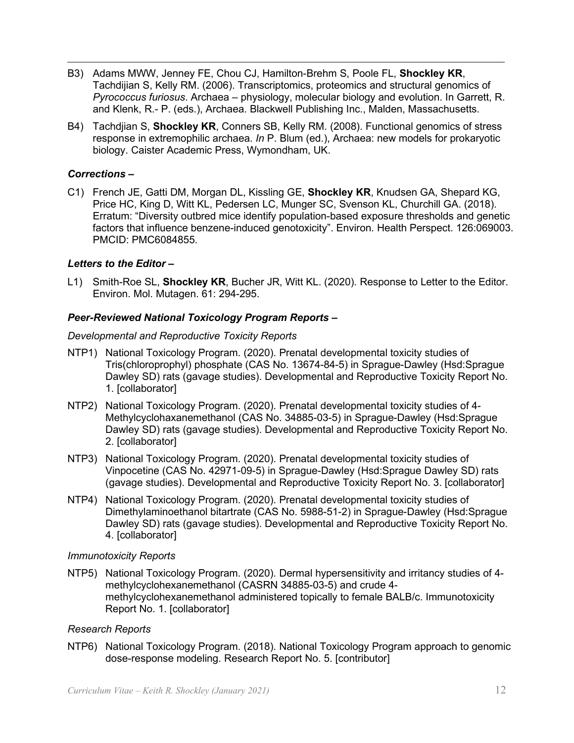- *Pyrococcus furiosus*. Archaea physiology, molecular biology and evolution. In Garrett, R. B3) Adams MWW, Jenney FE, Chou CJ, Hamilton-Brehm S, Poole FL, **Shockley KR**, Tachdijian S, Kelly RM. (2006). Transcriptomics, proteomics and structural genomics of and Klenk, R.- P. (eds.), Archaea. Blackwell Publishing Inc., Malden, Massachusetts.
- response in extremophilic archaea. *In* P. Blum (ed.), Archaea: new models for prokaryotic B4) Tachdjian S, **Shockley KR**, Conners SB, Kelly RM. (2008). Functional genomics of stress biology. Caister Academic Press, Wymondham, UK.

## *Corrections –*

C1) French JE, Gatti DM, Morgan DL, Kissling GE, **Shockley KR**, Knudsen GA, Shepard KG, Price HC, King D, Witt KL, Pedersen LC, Munger SC, Svenson KL, Churchill GA. (2018). Erratum: "Diversity outbred mice identify population-based exposure thresholds and genetic factors that influence benzene-induced genotoxicity". Environ. Health Perspect. 126:069003. PMCID: PMC6084855.

## *Letters to the Editor –*

L1) Smith-Roe SL, **Shockley KR**, Bucher JR, Witt KL. (2020). Response to Letter to the Editor. Environ. Mol. Mutagen. 61: 294-295.

#### *Peer-Reviewed National Toxicology Program Reports –*

#### *Developmental and Reproductive Toxicity Reports*

- Tris(chloroprophyl) phosphate (CAS No. 13674-84-5) in Sprague-Dawley (Hsd:Sprague NTP1) National Toxicology Program. (2020). Prenatal developmental toxicity studies of Dawley SD) rats (gavage studies). Developmental and Reproductive Toxicity Report No. 1. [collaborator]
- NTP2) National Toxicology Program. (2020). Prenatal developmental toxicity studies of 4- Methylcyclohaxanemethanol (CAS No. 34885-03-5) in Sprague-Dawley (Hsd:Sprague Dawley SD) rats (gavage studies). Developmental and Reproductive Toxicity Report No. 2. [collaborator]
- NTP3) National Toxicology Program. (2020). Prenatal developmental toxicity studies of Vinpocetine (CAS No. 42971-09-5) in Sprague-Dawley (Hsd:Sprague Dawley SD) rats (gavage studies). Developmental and Reproductive Toxicity Report No. 3. [collaborator]
- NTP4) National Toxicology Program. (2020). Prenatal developmental toxicity studies of Dimethylaminoethanol bitartrate (CAS No. 5988-51-2) in Sprague-Dawley (Hsd:Sprague Dawley SD) rats (gavage studies). Developmental and Reproductive Toxicity Report No. 4. [collaborator]

#### *Immunotoxicity Reports*

 NTP5) National Toxicology Program. (2020). Dermal hypersensitivity and irritancy studies of 4- methylcyclohexanemethanol (CASRN 34885-03-5) and crude 4- methylcyclohexanemethanol administered topically to female BALB/c. Immunotoxicity Report No. 1. [collaborator]

#### *Research Reports*

 NTP6) National Toxicology Program. (2018). National Toxicology Program approach to genomic dose-response modeling. Research Report No. 5. [contributor]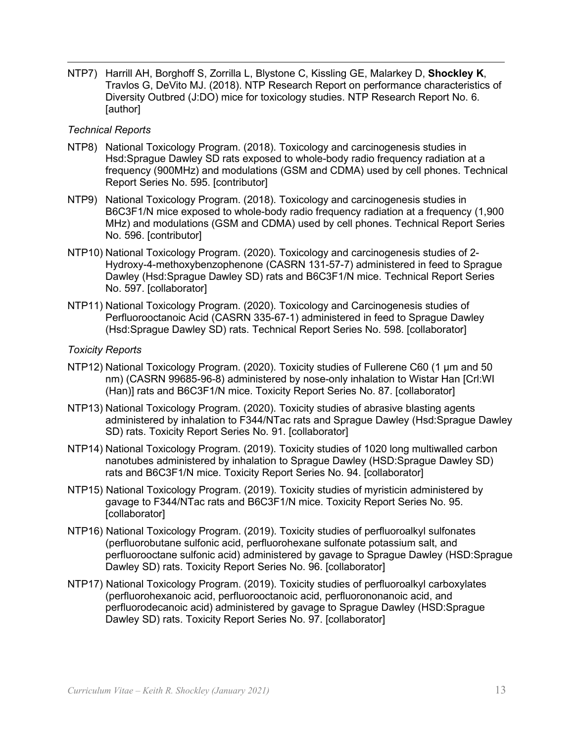NTP7) Harrill AH, Borghoff S, Zorrilla L, Blystone C, Kissling GE, Malarkey D, **Shockley K**, Diversity Outbred (J:DO) mice for toxicology studies. NTP Research Report No. 6. Travlos G, DeVito MJ. (2018). NTP Research Report on performance characteristics of [author]

#### *Technical Reports*

- NTP8) National Toxicology Program. (2018). Toxicology and carcinogenesis studies in frequency (900MHz) and modulations (GSM and CDMA) used by cell phones. Technical Hsd:Sprague Dawley SD rats exposed to whole-body radio frequency radiation at a Report Series No. 595. [contributor]
- NTP9) National Toxicology Program. (2018). Toxicology and carcinogenesis studies in B6C3F1/N mice exposed to whole-body radio frequency radiation at a frequency (1,900 MHz) and modulations (GSM and CDMA) used by cell phones. Technical Report Series No. 596. [contributor]
- NTP10) National Toxicology Program. (2020). Toxicology and carcinogenesis studies of 2- Hydroxy-4-methoxybenzophenone (CASRN 131-57-7) administered in feed to Sprague Dawley (Hsd:Sprague Dawley SD) rats and B6C3F1/N mice. Technical Report Series No. 597. [collaborator]
- NTP11) National Toxicology Program. (2020). Toxicology and Carcinogenesis studies of Perfluorooctanoic Acid (CASRN 335-67-1) administered in feed to Sprague Dawley (Hsd:Sprague Dawley SD) rats. Technical Report Series No. 598. [collaborator]

#### *Toxicity Reports*

- NTP12) National Toxicology Program. (2020). Toxicity studies of Fullerene C60 (1 µm and 50 (Han)] rats and B6C3F1/N mice. Toxicity Report Series No. 87. [collaborator] nm) (CASRN 99685-96-8) administered by nose-only inhalation to Wistar Han [Crl:WI
- SD) rats. Toxicity Report Series No. 91. [collaborator] NTP13) National Toxicology Program. (2020). Toxicity studies of abrasive blasting agents administered by inhalation to F344/NTac rats and Sprague Dawley (Hsd:Sprague Dawley
- nanotubes administered by inhalation to Sprague Dawley (HSD:Sprague Dawley SD) NTP14) National Toxicology Program. (2019). Toxicity studies of 1020 long multiwalled carbon rats and B6C3F1/N mice. Toxicity Report Series No. 94. [collaborator]
- NTP15) National Toxicology Program. (2019). Toxicity studies of myristicin administered by gavage to F344/NTac rats and B6C3F1/N mice. Toxicity Report Series No. 95. [collaborator]
- perfluorooctane sulfonic acid) administered by gavage to Sprague Dawley (HSD:Sprague Dawley SD) rats. Toxicity Report Series No. 96. [collaborator] NTP16) National Toxicology Program. (2019). Toxicity studies of perfluoroalkyl sulfonates (perfluorobutane sulfonic acid, perfluorohexane sulfonate potassium salt, and
- (perfluorohexanoic acid, perfluorooctanoic acid, perfluorononanoic acid, and NTP17) National Toxicology Program. (2019). Toxicity studies of perfluoroalkyl carboxylates perfluorodecanoic acid) administered by gavage to Sprague Dawley (HSD:Sprague Dawley SD) rats. Toxicity Report Series No. 97. [collaborator]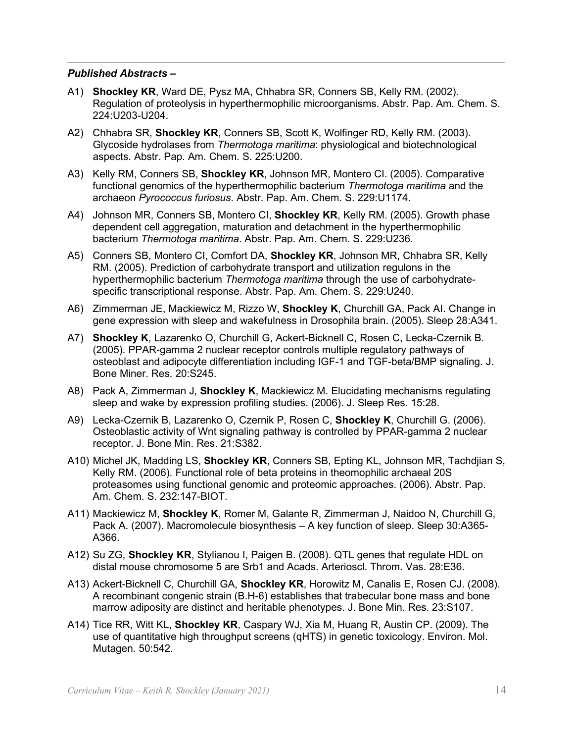## *Published Abstracts –*

- A1) **Shockley KR**, Ward DE, Pysz MA, Chhabra SR, Conners SB, Kelly RM. (2002). Regulation of proteolysis in hyperthermophilic microorganisms. Abstr. Pap. Am. Chem. S. 224:U203-U204.
- 224:U203-U204. A2) Chhabra SR, **Shockley KR**, Conners SB, Scott K, Wolfinger RD, Kelly RM. (2003). aspects. Abstr. Pap. Am. Chem. S. 225:U200. Glycoside hydrolases from *Thermotoga maritima*: physiological and biotechnological
- aspects. Abstr. Pap. Am. Chem. S. 225:U200. A3) Kelly RM, Conners SB, **Shockley KR**, Johnson MR, Montero CI. (2005). Comparative archaeon *Pyrococcus furiosus*. Abstr. Pap. Am. Chem. S. 229:U1174. functional genomics of the hyperthermophilic bacterium *Thermotoga maritima* and the
- A4) Johnson MR, Conners SB, Montero CI, **Shockley KR**, Kelly RM. (2005). Growth phase dependent cell aggregation, maturation and detachment in the hyperthermophilic bacterium *Thermotoga maritima*. Abstr. Pap. Am. Chem. S. 229:U236.
- A5) Conners SB, Montero CI, Comfort DA, **Shockley KR**, Johnson MR, Chhabra SR, Kelly hyperthermophilic bacterium *Thermotoga maritima* through the use of carbohydrate-RM. (2005). Prediction of carbohydrate transport and utilization regulons in the specific transcriptional response. Abstr. Pap. Am. Chem. S. 229:U240.
- A6) Zimmerman JE, Mackiewicz M, Rizzo W, **Shockley K**, Churchill GA, Pack AI. Change in gene expression with sleep and wakefulness in Drosophila brain. (2005). Sleep 28:A341.
- A7) **Shockley K**, Lazarenko O, Churchill G, Ackert-Bicknell C, Rosen C, Lecka-Czernik B. (2005). PPAR-gamma 2 nuclear receptor controls multiple regulatory pathways of osteoblast and adipocyte differentiation including IGF-1 and TGF-beta/BMP signaling. J. Bone Miner. Res. 20:S245.
- A8) Pack A, Zimmerman J, **Shockley K**, Mackiewicz M. Elucidating mechanisms regulating sleep and wake by expression profiling studies. (2006). J. Sleep Res. 15:28.
- A9) Lecka-Czernik B, Lazarenko O, Czernik P, Rosen C, **Shockley K**, Churchill G. (2006). Osteoblastic activity of Wnt signaling pathway is controlled by PPAR-gamma 2 nuclear receptor. J. Bone Min. Res. 21:S382.
- Am. Chem. S. 232:147-BIOT. A10) Michel JK, Madding LS, **Shockley KR**, Conners SB, Epting KL, Johnson MR, Tachdjian S, Kelly RM. (2006). Functional role of beta proteins in theomophilic archaeal 20S proteasomes using functional genomic and proteomic approaches. (2006). Abstr. Pap.
- Pack A. (2007). Macromolecule biosynthesis A key function of sleep. Sleep 30:A365- A11) Mackiewicz M, **Shockley K**, Romer M, Galante R, Zimmerman J, Naidoo N, Churchill G, A366.
- distal mouse chromosome 5 are Srb1 and Acads. Arterioscl. Throm. Vas. 28:E36. A12) Su ZG, **Shockley KR**, Stylianou I, Paigen B. (2008). QTL genes that regulate HDL on
- marrow adiposity are distinct and heritable phenotypes. J. Bone Min. Res. 23:S107. A13) Ackert-Bicknell C, Churchill GA, **Shockley KR**, Horowitz M, Canalis E, Rosen CJ. (2008). A recombinant congenic strain (B.H-6) establishes that trabecular bone mass and bone
- A14) Tice RR, Witt KL, **Shockley KR**, Caspary WJ, Xia M, Huang R, Austin CP. (2009). The use of quantitative high throughput screens (qHTS) in genetic toxicology. Environ. Mol. Mutagen. 50:542.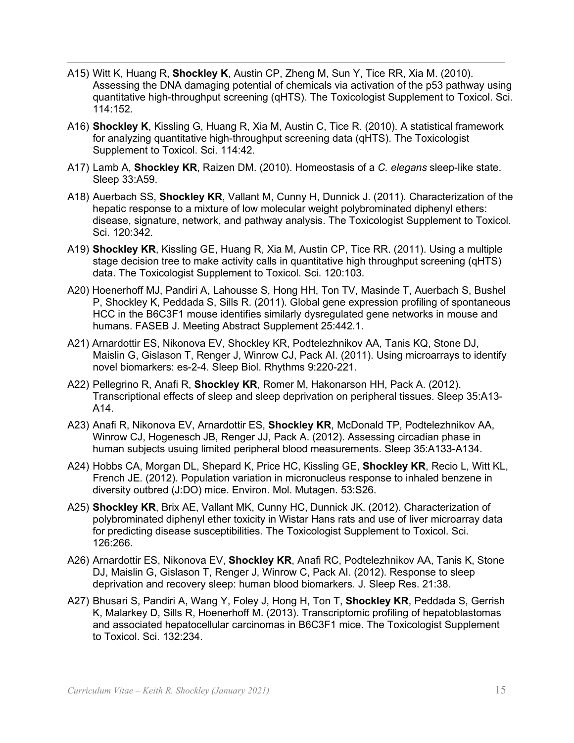- A15) Witt K, Huang R, **Shockley K**, Austin CP, Zheng M, Sun Y, Tice RR, Xia M. (2010). Assessing the DNA damaging potential of chemicals via activation of the p53 pathway using quantitative high-throughput screening (qHTS). The Toxicologist Supplement to Toxicol. Sci. 114:152.
- A16) **Shockley K**, Kissling G, Huang R, Xia M, Austin C, Tice R. (2010). A statistical framework for analyzing quantitative high-throughput screening data (qHTS). The Toxicologist Supplement to Toxicol. Sci. 114:42.
- A17) Lamb A, **Shockley KR**, Raizen DM. (2010). Homeostasis of a *C. elegans* sleep-like state. Sleep 33:A59.
- hepatic response to a mixture of low molecular weight polybrominated diphenyl ethers: disease, signature, network, and pathway analysis. The Toxicologist Supplement to Toxicol. Sci. 120:342. A18) Auerbach SS, **Shockley KR**, Vallant M, Cunny H, Dunnick J. (2011). Characterization of the
- stage decision tree to make activity calls in quantitative high throughput screening (qHTS) data. The Toxicologist Supplement to Toxicol. Sci. 120:103. A19) **Shockley KR**, Kissling GE, Huang R, Xia M, Austin CP, Tice RR. (2011). Using a multiple
- P, Shockley K, Peddada S, Sills R. (2011). Global gene expression profiling of spontaneous A20) Hoenerhoff MJ, Pandiri A, Lahousse S, Hong HH, Ton TV, Masinde T, Auerbach S, Bushel HCC in the B6C3F1 mouse identifies similarly dysregulated gene networks in mouse and humans. FASEB J. Meeting Abstract Supplement 25:442.1.
- A21) Arnardottir ES, Nikonova EV, Shockley KR, Podtelezhnikov AA, Tanis KQ, Stone DJ, Maislin G, Gislason T, Renger J, Winrow CJ, Pack AI. (2011). Using microarrays to identify novel biomarkers: es-2-4. Sleep Biol. Rhythms 9:220-221.
- A22) Pellegrino R, Anafi R, **Shockley KR**, Romer M, Hakonarson HH, Pack A. (2012). Transcriptional effects of sleep and sleep deprivation on peripheral tissues. Sleep 35:A13- A14.
- A23) Anafi R, Nikonova EV, Arnardottir ES, **Shockley KR**, McDonald TP, Podtelezhnikov AA, Winrow CJ, Hogenesch JB, Renger JJ, Pack A. (2012). Assessing circadian phase in human subjects usuing limited peripheral blood measurements. Sleep 35:A133-A134.
- A24) Hobbs CA, Morgan DL, Shepard K, Price HC, Kissling GE, **Shockley KR**, Recio L, Witt KL, French JE. (2012). Population variation in micronucleus response to inhaled benzene in diversity outbred (J:DO) mice. Environ. Mol. Mutagen. 53:S26.
- A25) **Shockley KR**, Brix AE, Vallant MK, Cunny HC, Dunnick JK. (2012). Characterization of polybrominated diphenyl ether toxicity in Wistar Hans rats and use of liver microarray data for predicting disease susceptibilities. The Toxicologist Supplement to Toxicol. Sci. 126:266.
- DJ, Maislin G, Gislason T, Renger J, Winrow C, Pack AI. (2012). Response to sleep A26) Arnardottir ES, Nikonova EV, **Shockley KR**, Anafi RC, Podtelezhnikov AA, Tanis K, Stone deprivation and recovery sleep: human blood biomarkers. J. Sleep Res. 21:38.
- A27) Bhusari S, Pandiri A, Wang Y, Foley J, Hong H, Ton T, **Shockley KR**, Peddada S, Gerrish to Toxicol. Sci. 132:234. K, Malarkey D, Sills R, Hoenerhoff M. (2013). Transcriptomic profiling of hepatoblastomas and associated hepatocellular carcinomas in B6C3F1 mice. The Toxicologist Supplement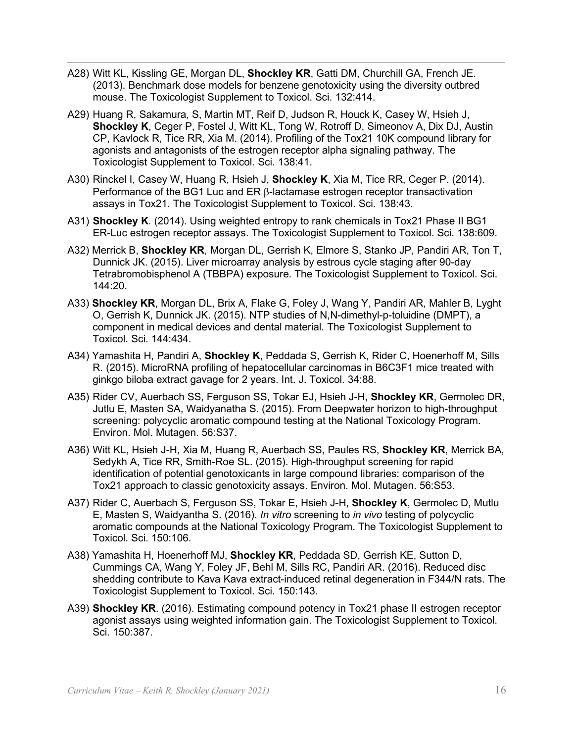- A28) Witt KL, Kissling GE, Morgan DL, **Shockley KR**, Gatti DM, Churchill GA, French JE. mouse. The Toxicologist Supplement to Toxicol. Sci. 132:414. (2013). Benchmark dose models for benzene genotoxicity using the diversity outbred
- A29) Huang R, Sakamura, S, Martin MT, Reif D, Judson R, Houck K, Casey W, Hsieh J, **Shockley K**, Ceger P, Fostel J, Witt KL, Tong W, Rotroff D, Simeonov A, Dix DJ, Austin CP, Kavlock R, Tice RR, Xia M. (2014). Profiling of the Tox21 10K compound library for agonists and antagonists of the estrogen receptor alpha signaling pathway. The Toxicologist Supplement to Toxicol. Sci. 138:41.
- A30) Rinckel I, Casey W, Huang R, Hsieh J, **Shockley K**, Xia M, Tice RR, Ceger P. (2014). Performance of the BG1 Luc and ER β-lactamase estrogen receptor transactivation assays in Tox21. The Toxicologist Supplement to Toxicol. Sci. 138:43.
- ER-Luc estrogen receptor assays. The Toxicologist Supplement to Toxicol. Sci. 138:609. A31) **Shockley K**. (2014). Using weighted entropy to rank chemicals in Tox21 Phase II BG1
- A32) Merrick B, **Shockley KR**, Morgan DL, Gerrish K, Elmore S, Stanko JP, Pandiri AR, Ton T, Dunnick JK. (2015). Liver microarray analysis by estrous cycle staging after 90-day Tetrabromobisphenol A (TBBPA) exposure. The Toxicologist Supplement to Toxicol. Sci. 144:20.
- Toxicol. Sci. 144:434. A33) **Shockley KR**, Morgan DL, Brix A, Flake G, Foley J, Wang Y, Pandiri AR, Mahler B, Lyght O, Gerrish K, Dunnick JK. (2015). NTP studies of N,N-dimethyl-p-toluidine (DMPT), a component in medical devices and dental material. The Toxicologist Supplement to
- A34) Yamashita H, Pandiri A, **Shockley K**, Peddada S, Gerrish K, Rider C, Hoenerhoff M, Sills R. (2015). MicroRNA profiling of hepatocellular carcinomas in B6C3F1 mice treated with ginkgo biloba extract gavage for 2 years. Int. J. Toxicol. 34:88.
- A35) Rider CV, Auerbach SS, Ferguson SS, Tokar EJ, Hsieh J-H, **Shockley KR**, Germolec DR, Jutlu E, Masten SA, Waidyanatha S. (2015). From Deepwater horizon to high-throughput screening: polycyclic aromatic compound testing at the National Toxicology Program. Environ. Mol. Mutagen. 56:S37.
- A36) Witt KL, Hsieh J-H, Xia M, Huang R, Auerbach SS, Paules RS, **Shockley KR**, Merrick BA, Tox21 approach to classic genotoxicity assays. Environ. Mol. Mutagen. 56:S53. Sedykh A, Tice RR, Smith-Roe SL. (2015). High-throughput screening for rapid identification of potential genotoxicants in large compound libraries: comparison of the
- Toxicol. Sci. 150:106. A37) Rider C, Auerbach S, Ferguson SS, Tokar E, Hsieh J-H, **Shockley K**, Germolec D, Mutlu E, Masten S, Waidyantha S. (2016). *In vitro* screening to *in vivo* testing of polycyclic aromatic compounds at the National Toxicology Program. The Toxicologist Supplement to
- shedding contribute to Kava Kava extract-induced retinal degeneration in F344/N rats. The Toxicologist Supplement to Toxicol. Sci. 150:143. A38) Yamashita H, Hoenerhoff MJ, **Shockley KR**, Peddada SD, Gerrish KE, Sutton D, Cummings CA, Wang Y, Foley JF, Behl M, Sills RC, Pandiri AR. (2016). Reduced disc
- Sci. 150:387. A39) **Shockley KR**. (2016). Estimating compound potency in Tox21 phase II estrogen receptor agonist assays using weighted information gain. The Toxicologist Supplement to Toxicol.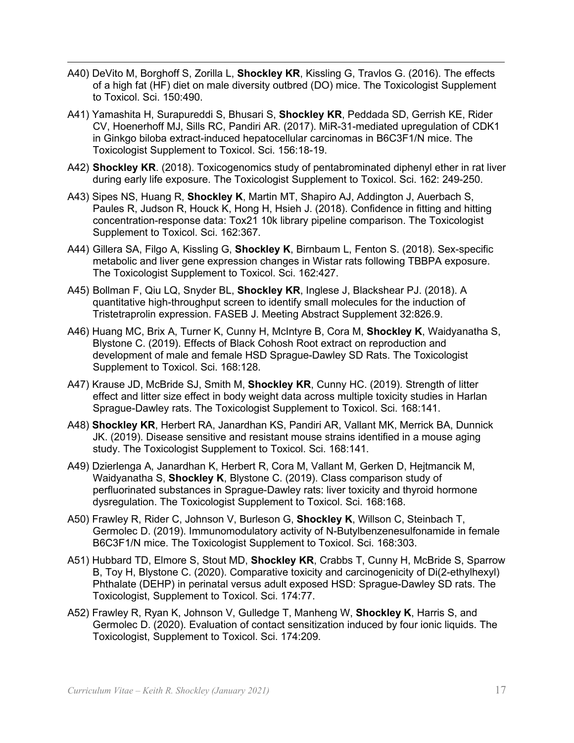- A40) DeVito M, Borghoff S, Zorilla L, **Shockley KR**, Kissling G, Travlos G. (2016). The effects to Toxicol. Sci. 150:490. of a high fat (HF) diet on male diversity outbred (DO) mice. The Toxicologist Supplement
- A41) Yamashita H, Surapureddi S, Bhusari S, **Shockley KR**, Peddada SD, Gerrish KE, Rider CV, Hoenerhoff MJ, Sills RC, Pandiri AR. (2017). MiR-31-mediated upregulation of CDK1 in Ginkgo biloba extract-induced hepatocellular carcinomas in B6C3F1/N mice. The Toxicologist Supplement to Toxicol. Sci. 156:18-19.
- A42) **Shockley KR**. (2018). Toxicogenomics study of pentabrominated diphenyl ether in rat liver during early life exposure. The Toxicologist Supplement to Toxicol. Sci. 162: 249-250.
- concentration-response data: Tox21 10k library pipeline comparison. The Toxicologist Supplement to Toxicol. Sci. 162:367. A43) Sipes NS, Huang R, **Shockley K**, Martin MT, Shapiro AJ, Addington J, Auerbach S, Paules R, Judson R, Houck K, Hong H, Hsieh J. (2018). Confidence in fitting and hitting
- The Toxicologist Supplement to Toxicol. Sci. 162:427. A44) Gillera SA, Filgo A, Kissling G, **Shockley K**, Birnbaum L, Fenton S. (2018). Sex-specific metabolic and liver gene expression changes in Wistar rats following TBBPA exposure.
- A45) Bollman F, Qiu LQ, Snyder BL, **Shockley KR**, Inglese J, Blackshear PJ. (2018). A quantitative high-throughput screen to identify small molecules for the induction of Tristetraprolin expression. FASEB J. Meeting Abstract Supplement 32:826.9.
- A46) Huang MC, Brix A, Turner K, Cunny H, McIntyre B, Cora M, **Shockley K**, Waidyanatha S, Blystone C. (2019). Effects of Black Cohosh Root extract on reproduction and Supplement to Toxicol. Sci. 168:128. development of male and female HSD Sprague-Dawley SD Rats. The Toxicologist
- Sprague-Dawley rats. The Toxicologist Supplement to Toxicol. Sci. 168:141. A47) Krause JD, McBride SJ, Smith M, **Shockley KR**, Cunny HC. (2019). Strength of litter effect and litter size effect in body weight data across multiple toxicity studies in Harlan
- A48) **Shockley KR**, Herbert RA, Janardhan KS, Pandiri AR, Vallant MK, Merrick BA, Dunnick JK. (2019). Disease sensitive and resistant mouse strains identified in a mouse aging study. The Toxicologist Supplement to Toxicol. Sci. 168:141.
- A49) Dzierlenga A, Janardhan K, Herbert R, Cora M, Vallant M, Gerken D, Hejtmancik M, dysregulation. The Toxicologist Supplement to Toxicol. Sci. 168:168. Waidyanatha S, **Shockley K**, Blystone C. (2019). Class comparison study of perfluorinated substances in Sprague-Dawley rats: liver toxicity and thyroid hormone
- B6C3F1/N mice. The Toxicologist Supplement to Toxicol. Sci. 168:303. A50) Frawley R, Rider C, Johnson V, Burleson G, **Shockley K**, Willson C, Steinbach T, Germolec D. (2019). Immunomodulatory activity of N-Butylbenzenesulfonamide in female
- A51) Hubbard TD, Elmore S, Stout MD, **Shockley KR**, Crabbs T, Cunny H, McBride S, Sparrow Toxicologist, Supplement to Toxicol. Sci. 174:77. B, Toy H, Blystone C. (2020). Comparative toxicity and carcinogenicity of Di(2-ethylhexyl) Phthalate (DEHP) in perinatal versus adult exposed HSD: Sprague-Dawley SD rats. The
- A52) Frawley R, Ryan K, Johnson V, Gulledge T, Manheng W, **Shockley K**, Harris S, and Toxicologist, Supplement to Toxicol. Sci. 174:209. Germolec D. (2020). Evaluation of contact sensitization induced by four ionic liquids. The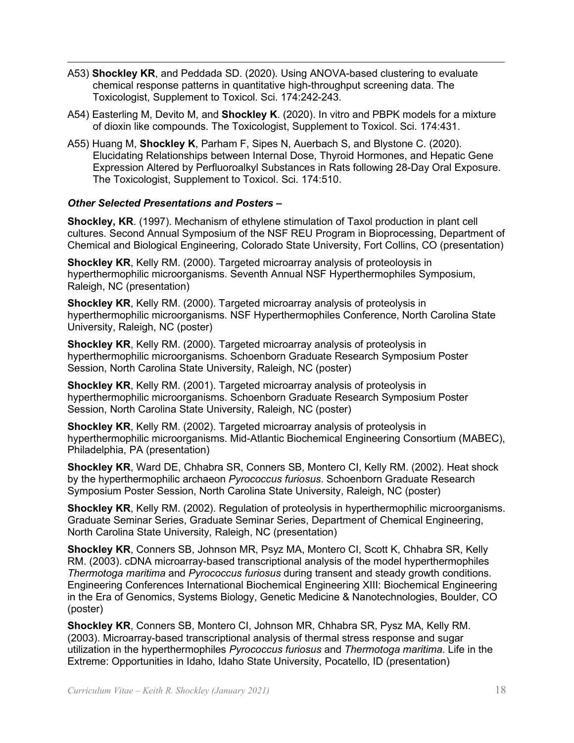- chemical response patterns in quantitative high-throughput screening data. The A53) **Shockley KR**, and Peddada SD. (2020). Using ANOVA-based clustering to evaluate Toxicologist, Supplement to Toxicol. Sci. 174:242-243.
- A54) Easterling M, Devito M, and **Shockley K**. (2020). In vitro and PBPK models for a mixture of dioxin like compounds. The Toxicologist, Supplement to Toxicol. Sci. 174:431.
- A55) Huang M, **Shockley K**, Parham F, Sipes N, Auerbach S, and Blystone C. (2020). Elucidating Relationships between Internal Dose, Thyroid Hormones, and Hepatic Gene The Toxicologist, Supplement to Toxicol. Sci. 174:510. Expression Altered by Perfluoroalkyl Substances in Rats following 28-Day Oral Exposure.

#### *Other Selected Presentations and Posters –*

 **Shockley, KR**. (1997). Mechanism of ethylene stimulation of Taxol production in plant cell cultures. Second Annual Symposium of the NSF REU Program in Bioprocessing, Department of Chemical and Biological Engineering, Colorado State University, Fort Collins, CO (presentation)

**Shockley KR**, Kelly RM. (2000). Targeted microarray analysis of proteoloysis in hyperthermophilic microorganisms. Seventh Annual NSF Hyperthermophiles Symposium, Raleigh, NC (presentation)

**Shockley KR**, Kelly RM. (2000). Targeted microarray analysis of proteolysis in hyperthermophilic microorganisms. NSF Hyperthermophiles Conference, North Carolina State University, Raleigh, NC (poster)

**Shockley KR**, Kelly RM. (2000). Targeted microarray analysis of proteolysis in hyperthermophilic microorganisms. Schoenborn Graduate Research Symposium Poster Session, North Carolina State University, Raleigh, NC (poster)

 Session, North Carolina State University, Raleigh, NC (poster) **Shockley KR**, Kelly RM. (2001). Targeted microarray analysis of proteolysis in hyperthermophilic microorganisms. Schoenborn Graduate Research Symposium Poster

**Shockley KR**, Kelly RM. (2002). Targeted microarray analysis of proteolysis in hyperthermophilic microorganisms. Mid-Atlantic Biochemical Engineering Consortium (MABEC), Philadelphia, PA (presentation)

 Symposium Poster Session, North Carolina State University, Raleigh, NC (poster) **Shockley KR**, Ward DE, Chhabra SR, Conners SB, Montero CI, Kelly RM. (2002). Heat shock by the hyperthermophilic archaeon *Pyrococcus furiosus*. Schoenborn Graduate Research

 **Shockley KR**, Kelly RM. (2002). Regulation of proteolysis in hyperthermophilic microorganisms. Graduate Seminar Series, Graduate Seminar Series, Department of Chemical Engineering, North Carolina State University, Raleigh, NC (presentation)

 in the Era of Genomics, Systems Biology, Genetic Medicine & Nanotechnologies, Boulder, CO **Shockley KR**, Conners SB, Johnson MR, Psyz MA, Montero CI, Scott K, Chhabra SR, Kelly RM. (2003). cDNA microarray-based transcriptional analysis of the model hyperthermophiles *Thermotoga maritima* and *Pyrococcus furiosus* during transent and steady growth conditions. Engineering Conferences International Biochemical Engineering XIII: Biochemical Engineering (poster)

**Shockley KR**, Conners SB, Montero CI, Johnson MR, Chhabra SR, Pysz MA, Kelly RM. (2003). Microarray-based transcriptional analysis of thermal stress response and sugar utilization in the hyperthermophiles *Pyrococcus furiosus* and *Thermotoga maritima*. Life in the Extreme: Opportunities in Idaho, Idaho State University, Pocatello, ID (presentation)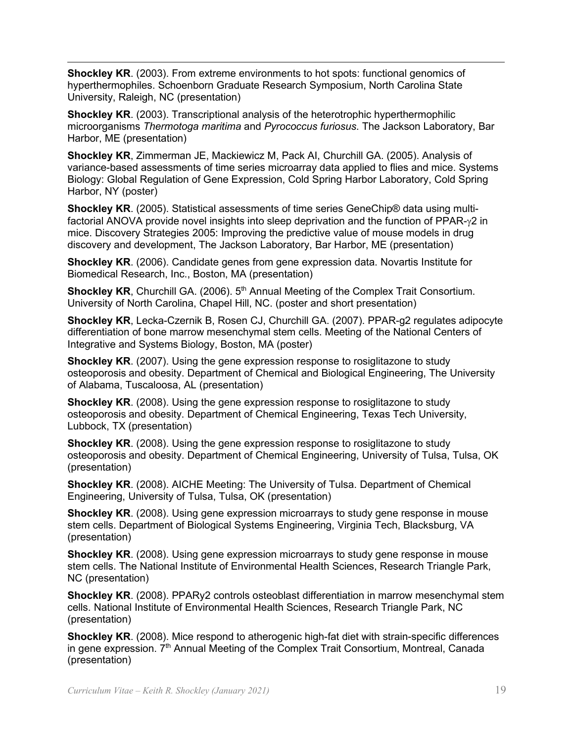**Shockley KR**. (2003). From extreme environments to hot spots: functional genomics of hyperthermophiles. Schoenborn Graduate Research Symposium, North Carolina State University, Raleigh, NC (presentation)

**Shockley KR**. (2003). Transcriptional analysis of the heterotrophic hyperthermophilic microorganisms *Thermotoga maritima* and *Pyrococcus furiosus*. The Jackson Laboratory, Bar Harbor, ME (presentation)

 **Shockley KR**, Zimmerman JE, Mackiewicz M, Pack AI, Churchill GA. (2005). Analysis of Harbor, NY (poster) variance-based assessments of time series microarray data applied to flies and mice. Systems Biology: Global Regulation of Gene Expression, Cold Spring Harbor Laboratory, Cold Spring

 mice. Discovery Strategies 2005: Improving the predictive value of mouse models in drug **Shockley KR**. (2005). Statistical assessments of time series GeneChip® data using multifactorial ANOVA provide novel insights into sleep deprivation and the function of PPAR-γ2 in discovery and development, The Jackson Laboratory, Bar Harbor, ME (presentation)

 Biomedical Research, Inc., Boston, MA (presentation) **Shockley KR**. (2006). Candidate genes from gene expression data. Novartis Institute for

**Shockley KR, Churchill GA. (2006). 5<sup>th</sup> Annual Meeting of the Complex Trait Consortium.** University of North Carolina, Chapel Hill, NC. (poster and short presentation)

 Integrative and Systems Biology, Boston, MA (poster) **Shockley KR**, Lecka-Czernik B, Rosen CJ, Churchill GA. (2007). PPAR-g2 regulates adipocyte differentiation of bone marrow mesenchymal stem cells. Meeting of the National Centers of

 **Shockley KR**. (2007). Using the gene expression response to rosiglitazone to study osteoporosis and obesity. Department of Chemical and Biological Engineering, The University of Alabama, Tuscaloosa, AL (presentation)

**Shockley KR**. (2008). Using the gene expression response to rosiglitazone to study osteoporosis and obesity. Department of Chemical Engineering, Texas Tech University, Lubbock, TX (presentation)

 **Shockley KR**. (2008). Using the gene expression response to rosiglitazone to study osteoporosis and obesity. Department of Chemical Engineering, University of Tulsa, Tulsa, OK (presentation)

**Shockley KR**. (2008). AICHE Meeting: The University of Tulsa. Department of Chemical Engineering, University of Tulsa, Tulsa, OK (presentation)

 **Shockley KR**. (2008). Using gene expression microarrays to study gene response in mouse stem cells. Department of Biological Systems Engineering, Virginia Tech, Blacksburg, VA (presentation)

**Shockley KR.** (2008). Using gene expression microarrays to study gene response in mouse stem cells. The National Institute of Environmental Health Sciences, Research Triangle Park, NC (presentation)

 cells. National Institute of Environmental Health Sciences, Research Triangle Park, NC **Shockley KR**. (2008). PPARy2 controls osteoblast differentiation in marrow mesenchymal stem (presentation)

**Shockley KR**. (2008). Mice respond to atherogenic high-fat diet with strain-specific differences in gene expression. 7<sup>th</sup> Annual Meeting of the Complex Trait Consortium, Montreal, Canada (presentation)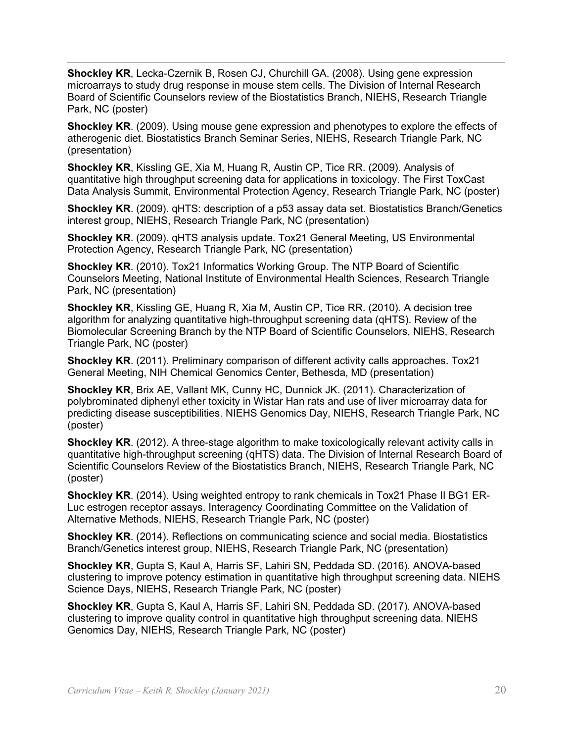Park, NC (poster) **Shockley KR**, Lecka-Czernik B, Rosen CJ, Churchill GA. (2008). Using gene expression microarrays to study drug response in mouse stem cells. The Division of Internal Research Board of Scientific Counselors review of the Biostatistics Branch, NIEHS, Research Triangle

 **Shockley KR**. (2009). Using mouse gene expression and phenotypes to explore the effects of atherogenic diet. Biostatistics Branch Seminar Series, NIEHS, Research Triangle Park, NC (presentation)

 Data Analysis Summit, Environmental Protection Agency, Research Triangle Park, NC (poster) **Shockley KR**, Kissling GE, Xia M, Huang R, Austin CP, Tice RR. (2009). Analysis of quantitative high throughput screening data for applications in toxicology. The First ToxCast

 interest group, NIEHS, Research Triangle Park, NC (presentation) **Shockley KR**. (2009). qHTS: description of a p53 assay data set. Biostatistics Branch/Genetics

**Shockley KR**. (2009). qHTS analysis update. Tox21 General Meeting, US Environmental Protection Agency, Research Triangle Park, NC (presentation)

 Counselors Meeting, National Institute of Environmental Health Sciences, Research Triangle **Shockley KR**. (2010). Tox21 Informatics Working Group. The NTP Board of Scientific Park, NC (presentation)

 Triangle Park, NC (poster) **Shockley KR**, Kissling GE, Huang R, Xia M, Austin CP, Tice RR. (2010). A decision tree algorithm for analyzing quantitative high-throughput screening data (qHTS). Review of the Biomolecular Screening Branch by the NTP Board of Scientific Counselors, NIEHS, Research

**Shockley KR**. (2011). Preliminary comparison of different activity calls approaches. Tox21 General Meeting, NIH Chemical Genomics Center, Bethesda, MD (presentation)

**Shockley KR**, Brix AE, Vallant MK, Cunny HC, Dunnick JK. (2011). Characterization of polybrominated diphenyl ether toxicity in Wistar Han rats and use of liver microarray data for predicting disease susceptibilities. NIEHS Genomics Day, NIEHS, Research Triangle Park, NC (poster)

**Shockley KR**. (2012). A three-stage algorithm to make toxicologically relevant activity calls in quantitative high-throughput screening (qHTS) data. The Division of Internal Research Board of Scientific Counselors Review of the Biostatistics Branch, NIEHS, Research Triangle Park, NC (poster)

 Alternative Methods, NIEHS, Research Triangle Park, NC (poster) **Shockley KR**. (2014). Using weighted entropy to rank chemicals in Tox21 Phase II BG1 ER-Luc estrogen receptor assays. Interagency Coordinating Committee on the Validation of

**Shockley KR**. (2014). Reflections on communicating science and social media. Biostatistics Branch/Genetics interest group, NIEHS, Research Triangle Park, NC (presentation)

**Shockley KR**, Gupta S, Kaul A, Harris SF, Lahiri SN, Peddada SD. (2016). ANOVA-based clustering to improve potency estimation in quantitative high throughput screening data. NIEHS Science Days, NIEHS, Research Triangle Park, NC (poster)

 clustering to improve quality control in quantitative high throughput screening data. NIEHS **Shockley KR**, Gupta S, Kaul A, Harris SF, Lahiri SN, Peddada SD. (2017). ANOVA-based Genomics Day, NIEHS, Research Triangle Park, NC (poster)